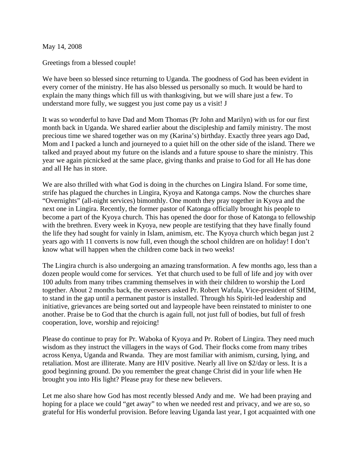May 14, 2008

Greetings from a blessed couple!

We have been so blessed since returning to Uganda. The goodness of God has been evident in every corner of the ministry. He has also blessed us personally so much. It would be hard to explain the many things which fill us with thanksgiving, but we will share just a few. To understand more fully, we suggest you just come pay us a visit! J

It was so wonderful to have Dad and Mom Thomas (Pr John and Marilyn) with us for our first month back in Uganda. We shared earlier about the discipleship and family ministry. The most precious time we shared together was on my (Karina's) birthday. Exactly three years ago Dad, Mom and I packed a lunch and journeyed to a quiet hill on the other side of the island. There we talked and prayed about my future on the islands and a future spouse to share the ministry. This year we again picnicked at the same place, giving thanks and praise to God for all He has done and all He has in store.

We are also thrilled with what God is doing in the churches on Lingira Island. For some time, strife has plagued the churches in Lingira, Kyoya and Katonga camps. Now the churches share "Overnights" (all-night services) bimonthly. One month they pray together in Kyoya and the next one in Lingira. Recently, the former pastor of Katonga officially brought his people to become a part of the Kyoya church. This has opened the door for those of Katonga to fellowship with the brethren. Every week in Kyoya, new people are testifying that they have finally found the life they had sought for vainly in Islam, animism, etc. The Kyoya church which began just 2 years ago with 11 converts is now full, even though the school children are on holiday! I don't know what will happen when the children come back in two weeks!

The Lingira church is also undergoing an amazing transformation. A few months ago, less than a dozen people would come for services. Yet that church used to be full of life and joy with over 100 adults from many tribes cramming themselves in with their children to worship the Lord together. About 2 months back, the overseers asked Pr. Robert Wafula, Vice-president of SHIM, to stand in the gap until a permanent pastor is installed. Through his Spirit-led leadership and initiative, grievances are being sorted out and laypeople have been reinstated to minister to one another. Praise be to God that the church is again full, not just full of bodies, but full of fresh cooperation, love, worship and rejoicing!

Please do continue to pray for Pr. Waboka of Kyoya and Pr. Robert of Lingira. They need much wisdom as they instruct the villagers in the ways of God. Their flocks come from many tribes across Kenya, Uganda and Rwanda. They are most familiar with animism, cursing, lying, and retaliation. Most are illiterate. Many are HIV positive. Nearly all live on \$2/day or less. It is a good beginning ground. Do you remember the great change Christ did in your life when He brought you into His light? Please pray for these new believers.

Let me also share how God has most recently blessed Andy and me. We had been praying and hoping for a place we could "get away" to when we needed rest and privacy, and we are so, so grateful for His wonderful provision. Before leaving Uganda last year, I got acquainted with one